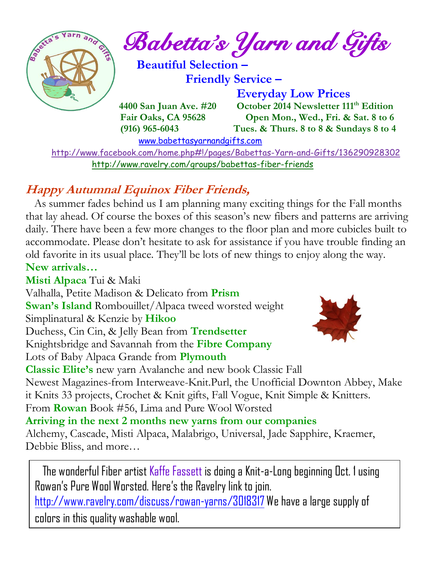

 <http://www.facebook.com/home.php#!/pages/Babettas-Yarn-and-Gifts/136290928302> <http://www.ravelry.com/groups/babettas-fiber-friends>

### **Happy Autumnal Equinox Fiber Friends,**

 As summer fades behind us I am planning many exciting things for the Fall months that lay ahead. Of course the boxes of this season's new fibers and patterns are arriving daily. There have been a few more changes to the floor plan and more cubicles built to accommodate. Please don't hesitate to ask for assistance if you have trouble finding an old favorite in its usual place. They'll be lots of new things to enjoy along the way. **New arrivals…**

**Misti Alpaca** Tui & Maki Valhalla, Petite Madison & Delicato from **Prism Swan's Island** Rombouillet/Alpaca tweed worsted weight Simplinatural & Kenzie by **Hikoo** Duchess, Cin Cin, & Jelly Bean from **Trendsetter** Knightsbridge and Savannah from the **Fibre Company** Lots of Baby Alpaca Grande from **Plymouth Classic Elite's** new yarn Avalanche and new book Classic Fall Newest Magazines-from Interweave-Knit.Purl, the Unofficial Downton Abbey, Make it Knits 33 projects, Crochet & Knit gifts, Fall Vogue, Knit Simple & Knitters. From **Rowan** Book #56, Lima and Pure Wool Worsted **Arriving in the next 2 months new yarns from our companies** Alchemy, Cascade, Misti Alpaca, Malabrigo, Universal, Jade Sapphire, Kraemer, Debbie Bliss, and more…

The wonderful Fiber artist Kaffe Fassett is doing a Knit-a-Long beginning Oct. 1 using Rowan's Pure Wool Worsted. Here's the Ravelry link to join. <http://www.ravelry.com/discuss/rowan-yarns/3018317> We have a large supply of colors in this quality washable wool.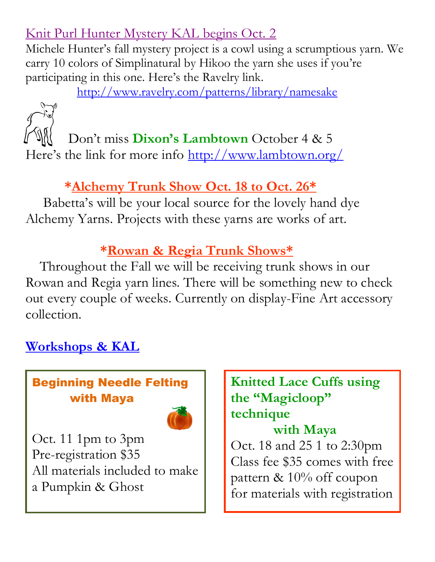### Knit Purl Hunter Mystery KAL begins Oct. 2

Michele Hunter's fall mystery project is a cowl using a scrumptious yarn. We carry 10 colors of Simplinatural by Hikoo the yarn she uses if you're participating in this one. Here's the Ravelry link.

<http://www.ravelry.com/patterns/library/namesake>



 Don't miss **Dixon's Lambtown** October 4 & 5 Here's the link for more info<http://www.lambtown.org/>

### **\*Alchemy Trunk Show Oct. 18 to Oct. 26\***

 Babetta's will be your local source for the lovely hand dye Alchemy Yarns. Projects with these yarns are works of art.

### **\*Rowan & Regia Trunk Shows\***

 Throughout the Fall we will be receiving trunk shows in our Rowan and Regia yarn lines. There will be something new to check out every couple of weeks. Currently on display-Fine Art accessory collection.

### **Workshops & KAL**

### Beginning Needle Felting with Maya



Oct. 11 1pm to 3pm Pre-registration \$35 All materials included to make a Pumpkin & Ghost

# **Knitted Lace Cuffs using the "Magicloop" technique**

### **with Maya** Oct. 18 and 25 1 to 2:30pm Class fee \$35 comes with free pattern & 10% off coupon for materials with registration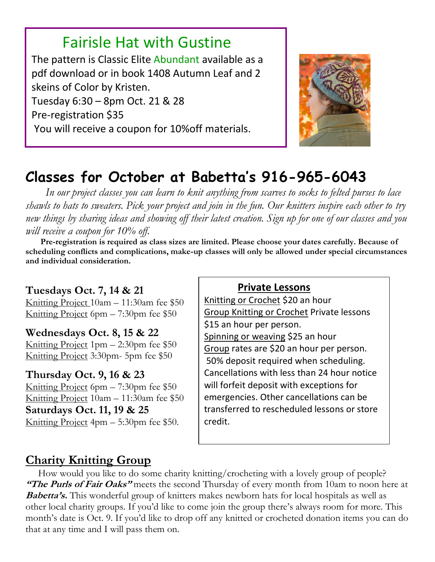## Fairisle Hat with Gustine

The pattern is Classic Elite Abundant available as a pdf download or in book 1408 Autumn Leaf and 2 skeins of Color by Kristen. Tuesday 6:30 – 8pm Oct. 21 & 28 Pre-registration \$35 You will receive a coupon for 10%off materials.



# **Classes for October at Babetta's 916-965-6043**

 *In our project classes you can learn to knit anything from scarves to socks to felted purses to lace shawls to hats to sweaters. Pick your project and join in the fun. Our knitters inspire each other to try new things by sharing ideas and showing off their latest creation. Sign up for one of our classes and you will receive a coupon for 10% off.*

 **Pre-registration is required as class sizes are limited. Please choose your dates carefully. Because of scheduling conflicts and complications, make-up classes will only be allowed under special circumstances and individual consideration.**

### **Tuesdays Oct. 7, 14 & 21**

L

Knitting Project 10am – 11:30am fee \$50 Knitting Project 6pm – 7:30pm fee \$50

### **Wednesdays Oct. 8, 15 & 22**

Knitting Project 1pm – 2:30pm fee \$50 Knitting Project 3:30pm- 5pm fee \$50

### **Thursday Oct. 9, 16 & 23**

Knitting Project 6pm – 7:30pm fee \$50 Knitting Project 10am – 11:30am fee \$50 **Saturdays Oct. 11, 19 & 25** Knitting Project 4pm – 5:30pm fee \$50.

#### **Private Lessons**

Knitting or Crochet \$20 an hour Group Knitting or Crochet Private lessons \$15 an hour per person. Spinning or weaving \$25 an hour Group rates are \$20 an hour per person. 50% deposit required when scheduling. Cancellations with less than 24 hour notice will forfeit deposit with exceptions for emergencies. Other cancellations can be transferred to rescheduled lessons or store credit.

### **Charity Knitting Group**

 How would you like to do some charity knitting/crocheting with a lovely group of people? **"The Purls of Fair Oaks"** meets the second Thursday of every month from 10am to noon here at **Babetta's.** This wonderful group of knitters makes newborn hats for local hospitals as well as other local charity groups. If you'd like to come join the group there's always room for more. This month's date is Oct. 9. If you'd like to drop off any knitted or crocheted donation items you can do that at any time and I will pass them on.